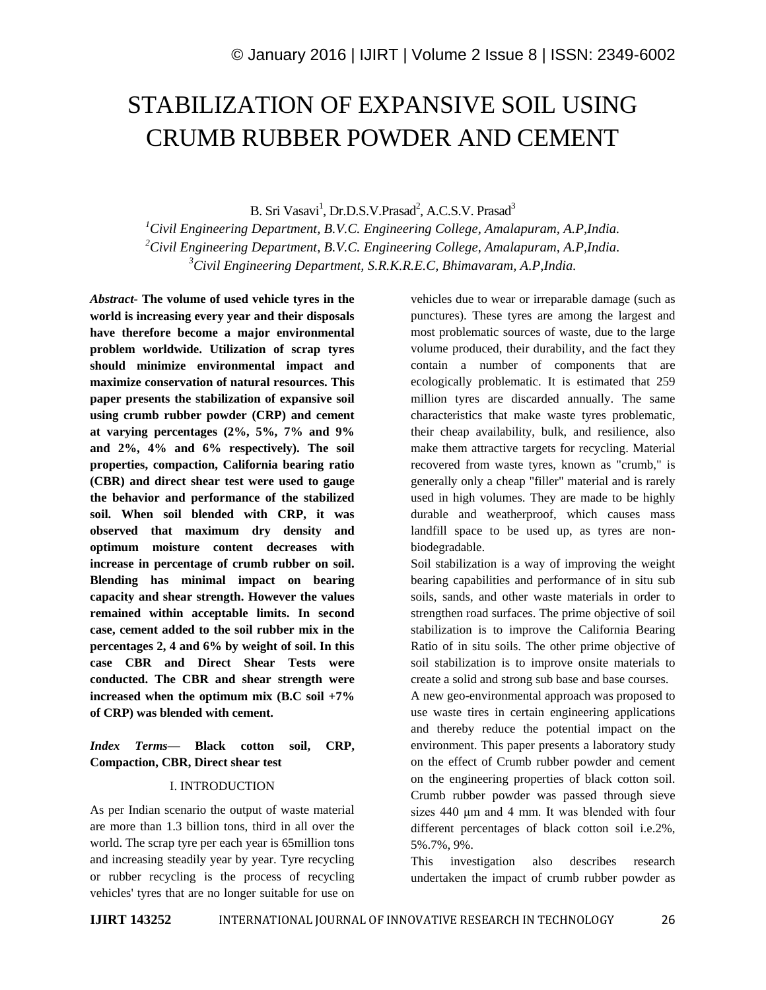# STABILIZATION OF EXPANSIVE SOIL USING CRUMB RUBBER POWDER AND CEMENT

B. Sri Vasavi<sup>1</sup>, Dr.D.S.V.Prasad<sup>2</sup>, A.C.S.V. Prasad<sup>3</sup>

*<sup>1</sup>Civil Engineering Department, B.V.C. Engineering College, Amalapuram, A.P,India. <sup>2</sup>Civil Engineering Department, B.V.C. Engineering College, Amalapuram, A.P,India. <sup>3</sup>Civil Engineering Department, S.R.K.R.E.C, Bhimavaram, A.P,India.*

*Abstract-* **The volume of used vehicle tyres in the world is increasing every year and their disposals have therefore become a major environmental problem worldwide. Utilization of scrap tyres should minimize environmental impact and maximize conservation of natural resources. This paper presents the stabilization of expansive soil using crumb rubber powder (CRP) and cement at varying percentages (2%, 5%, 7% and 9% and 2%, 4% and 6% respectively). The soil properties, compaction, California bearing ratio (CBR) and direct shear test were used to gauge the behavior and performance of the stabilized soil. When soil blended with CRP, it was observed that maximum dry density and optimum moisture content decreases with increase in percentage of crumb rubber on soil. Blending has minimal impact on bearing capacity and shear strength. However the values remained within acceptable limits. In second case, cement added to the soil rubber mix in the percentages 2, 4 and 6% by weight of soil. In this case CBR and Direct Shear Tests were conducted. The CBR and shear strength were increased when the optimum mix (B.C soil +7% of CRP) was blended with cement.**

# *Index Terms—* **Black cotton soil, CRP, Compaction, CBR, Direct shear test**

#### I. INTRODUCTION

As per Indian scenario the output of waste material are more than 1.3 billion tons, third in all over the world. The scrap tyre per each year is 65million tons and increasing steadily year by year. Tyre recycling or rubber recycling is the process of recycling vehicles' tyres that are no longer suitable for use on vehicles due to wear or irreparable damage (such as punctures). These tyres are among the largest and most problematic sources of waste, due to the large volume produced, their durability, and the fact they contain a number of components that are ecologically problematic. It is estimated that 259 million tyres are discarded annually. The same characteristics that make waste tyres problematic, their cheap availability, bulk, and resilience, also make them attractive targets for recycling. Material recovered from waste tyres, known as "crumb," is generally only a cheap "filler" material and is rarely used in high volumes. They are made to be highly durable and weatherproof, which causes mass landfill space to be used up, as tyres are nonbiodegradable.

Soil stabilization is a way of improving the weight bearing capabilities and performance of in situ sub soils, sands, and other waste materials in order to strengthen road surfaces. The prime objective of soil stabilization is to improve the California Bearing Ratio of in situ soils. The other prime objective of soil stabilization is to improve onsite materials to create a solid and strong sub base and base courses.

A new geo-environmental approach was proposed to use waste tires in certain engineering applications and thereby reduce the potential impact on the environment. This paper presents a laboratory study on the effect of Crumb rubber powder and cement on the engineering properties of black cotton soil. Crumb rubber powder was passed through sieve sizes 440 μm and 4 mm. It was blended with four different percentages of black cotton soil i.e.2%, 5%.7%, 9%.

This investigation also describes research undertaken the impact of crumb rubber powder as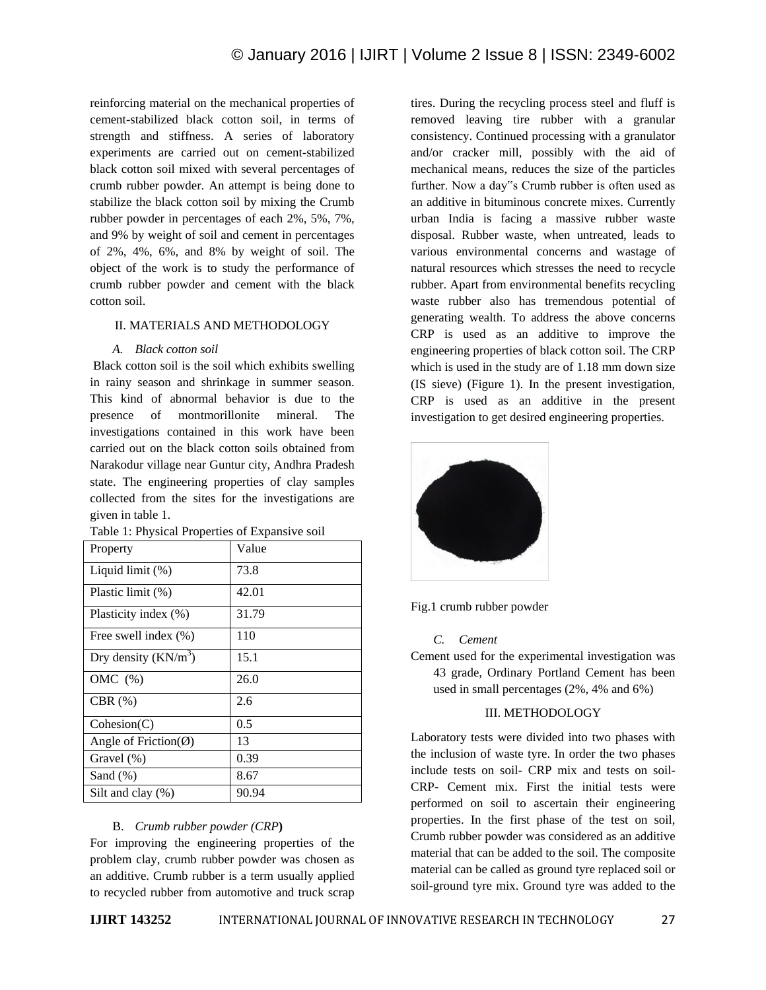reinforcing material on the mechanical properties of cement-stabilized black cotton soil, in terms of strength and stiffness. A series of laboratory experiments are carried out on cement-stabilized black cotton soil mixed with several percentages of crumb rubber powder. An attempt is being done to stabilize the black cotton soil by mixing the Crumb rubber powder in percentages of each 2%, 5%, 7%, and 9% by weight of soil and cement in percentages of 2%, 4%, 6%, and 8% by weight of soil. The object of the work is to study the performance of crumb rubber powder and cement with the black cotton soil.

## II. MATERIALS AND METHODOLOGY

## *A. Black cotton soil*

Black cotton soil is the soil which exhibits swelling in rainy season and shrinkage in summer season. This kind of abnormal behavior is due to the presence of montmorillonite mineral. The investigations contained in this work have been carried out on the black cotton soils obtained from Narakodur village near Guntur city, Andhra Pradesh state. The engineering properties of clay samples collected from the sites for the investigations are given in table 1.

| Property                           | Value |
|------------------------------------|-------|
| Liquid limit (%)                   | 73.8  |
| Plastic limit (%)                  | 42.01 |
| Plasticity index (%)               | 31.79 |
| Free swell index (%)               | 110   |
| Dry density $(KN/m^3)$             | 15.1  |
| OMC $(\%)$                         | 26.0  |
| $CBR$ $(\%)$                       | 2.6   |
| Cohesion(C)                        | 0.5   |
| Angle of Friction( $\varnothing$ ) | 13    |
| Gravel $(\%)$                      | 0.39  |
| Sand $(\%)$                        | 8.67  |
| Silt and clay $(\%)$               | 90.94 |

|  | Table 1: Physical Properties of Expansive soil |  |  |  |
|--|------------------------------------------------|--|--|--|
|--|------------------------------------------------|--|--|--|

## B. *Crumb rubber powder (CRP***)**

For improving the engineering properties of the problem clay, crumb rubber powder was chosen as an additive. Crumb rubber is a term usually applied to recycled rubber from automotive and truck scrap tires. During the recycling process steel and fluff is removed leaving tire rubber with a granular consistency. Continued processing with a granulator and/or cracker mill, possibly with the aid of mechanical means, reduces the size of the particles further. Now a day"s Crumb rubber is often used as an additive in bituminous concrete mixes. Currently urban India is facing a massive rubber waste disposal. Rubber waste, when untreated, leads to various environmental concerns and wastage of natural resources which stresses the need to recycle rubber. Apart from environmental benefits recycling waste rubber also has tremendous potential of generating wealth. To address the above concerns CRP is used as an additive to improve the engineering properties of black cotton soil. The CRP which is used in the study are of 1.18 mm down size (IS sieve) (Figure 1). In the present investigation, CRP is used as an additive in the present investigation to get desired engineering properties.



Fig.1 crumb rubber powder

### *C. Cement*

Cement used for the experimental investigation was 43 grade, Ordinary Portland Cement has been used in small percentages (2%, 4% and 6%)

#### III. METHODOLOGY

Laboratory tests were divided into two phases with the inclusion of waste tyre. In order the two phases include tests on soil- CRP mix and tests on soil-CRP- Cement mix. First the initial tests were performed on soil to ascertain their engineering properties. In the first phase of the test on soil, Crumb rubber powder was considered as an additive material that can be added to the soil. The composite material can be called as ground tyre replaced soil or soil-ground tyre mix. Ground tyre was added to the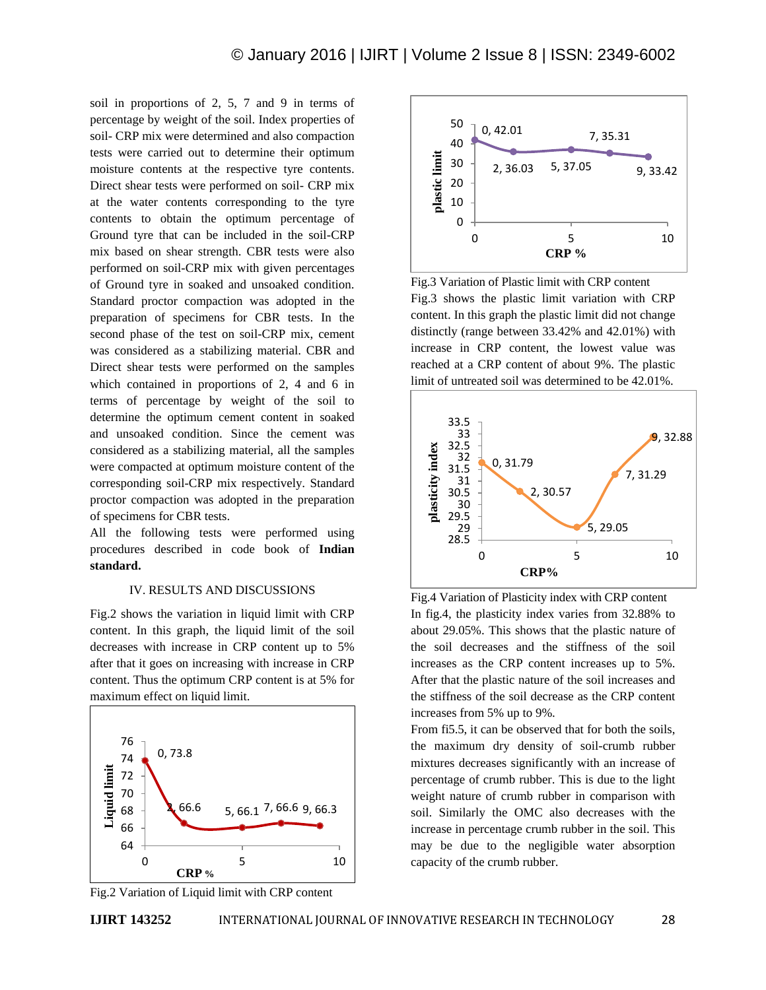soil in proportions of 2, 5, 7 and 9 in terms of percentage by weight of the soil. Index properties of soil- CRP mix were determined and also compaction tests were carried out to determine their optimum moisture contents at the respective tyre contents. Direct shear tests were performed on soil- CRP mix at the water contents corresponding to the tyre contents to obtain the optimum percentage of Ground tyre that can be included in the soil-CRP mix based on shear strength. CBR tests were also performed on soil-CRP mix with given percentages of Ground tyre in soaked and unsoaked condition. Standard proctor compaction was adopted in the preparation of specimens for CBR tests. In the second phase of the test on soil-CRP mix, cement was considered as a stabilizing material. CBR and Direct shear tests were performed on the samples which contained in proportions of 2, 4 and 6 in terms of percentage by weight of the soil to determine the optimum cement content in soaked and unsoaked condition. Since the cement was considered as a stabilizing material, all the samples were compacted at optimum moisture content of the corresponding soil-CRP mix respectively. Standard proctor compaction was adopted in the preparation of specimens for CBR tests.

All the following tests were performed using procedures described in code book of **Indian standard.**

#### IV. RESULTS AND DISCUSSIONS

Fig.2 shows the variation in liquid limit with CRP content. In this graph, the liquid limit of the soil decreases with increase in CRP content up to 5% after that it goes on increasing with increase in CRP content. Thus the optimum CRP content is at 5% for maximum effect on liquid limit.





Fig.3 Variation of Plastic limit with CRP content Fig.3 shows the plastic limit variation with CRP content. In this graph the plastic limit did not change distinctly (range between 33.42% and 42.01%) with increase in CRP content, the lowest value was reached at a CRP content of about 9%. The plastic limit of untreated soil was determined to be 42.01%.



Fig.4 Variation of Plasticity index with CRP content In fig.4, the plasticity index varies from 32.88% to about 29.05%. This shows that the plastic nature of the soil decreases and the stiffness of the soil increases as the CRP content increases up to 5%. After that the plastic nature of the soil increases and the stiffness of the soil decrease as the CRP content increases from 5% up to 9%.

From fi5.5, it can be observed that for both the soils, the maximum dry density of soil-crumb rubber mixtures decreases significantly with an increase of percentage of crumb rubber. This is due to the light weight nature of crumb rubber in comparison with soil. Similarly the OMC also decreases with the increase in percentage crumb rubber in the soil. This may be due to the negligible water absorption capacity of the crumb rubber.

Fig.2 Variation of Liquid limit with CRP content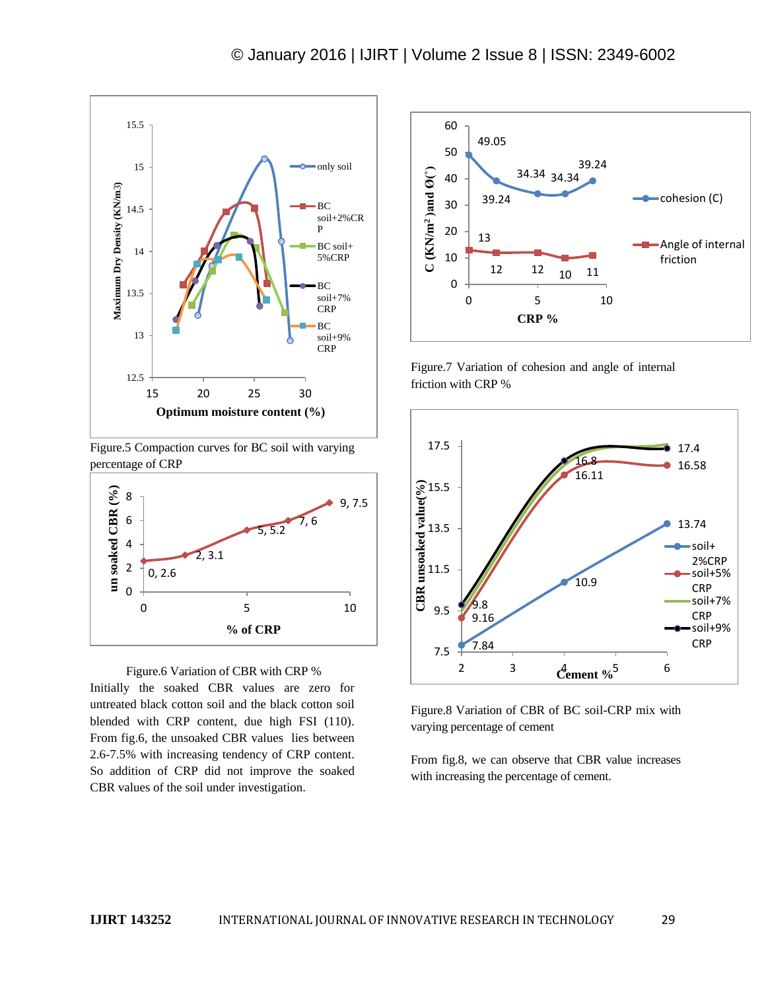

Figure.5 Compaction curves for BC soil with varying percentage of CRP



 Figure.6 Variation of CBR with CRP % Initially the soaked CBR values are zero for untreated black cotton soil and the black cotton soil blended with CRP content, due high FSI (110). From fig.6, the unsoaked CBR values lies between 2.6-7.5% with increasing tendency of CRP content. So addition of CRP did not improve the soaked CBR values of the soil under investigation.



Figure.7 Variation of cohesion and angle of internal friction with CRP %



Figure.8 Variation of CBR of BC soil-CRP mix with varying percentage of cement

From fig.8, we can observe that CBR value increases with increasing the percentage of cement.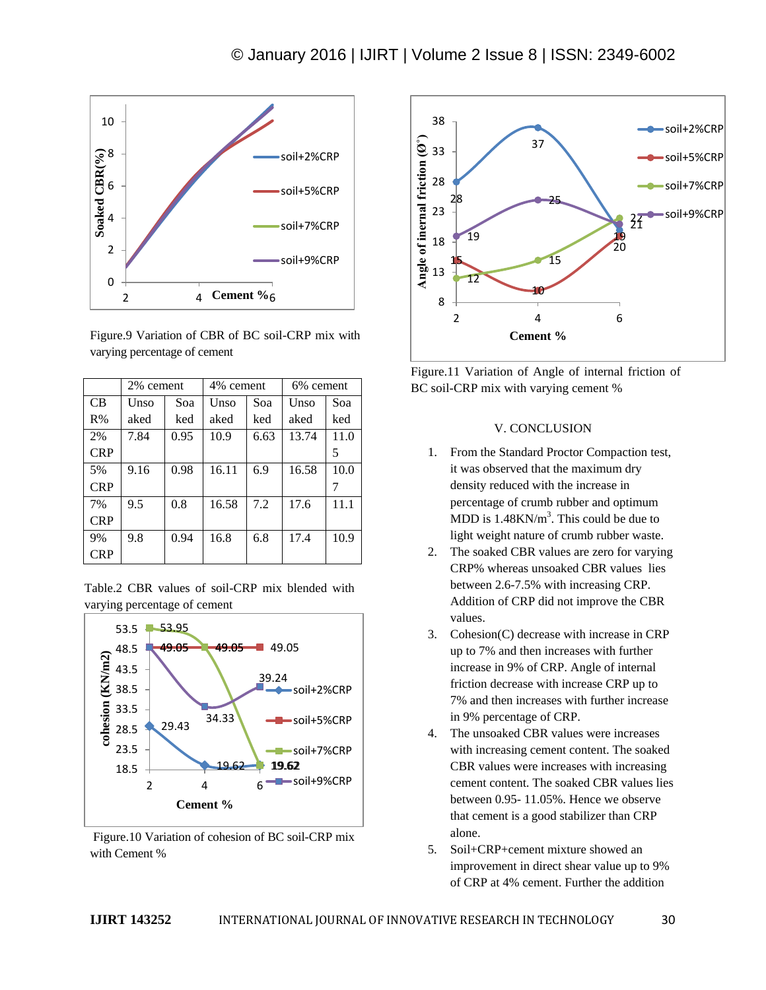

Figure.9 Variation of CBR of BC soil-CRP mix with varying percentage of cement

|            | 2% cement |      | 4% cement |      | 6% cement |      |
|------------|-----------|------|-----------|------|-----------|------|
| <b>CB</b>  | Unso      | Soa  | Unso      | Soa  | Unso      | Soa  |
| R%         | aked      | ked  | aked      | ked  | aked      | ked  |
| 2%         | 7.84      | 0.95 | 10.9      | 6.63 | 13.74     | 11.0 |
| <b>CRP</b> |           |      |           |      |           | 5    |
| 5%         | 9.16      | 0.98 | 16.11     | 6.9  | 16.58     | 10.0 |
| <b>CRP</b> |           |      |           |      |           | 7    |
| 7%         | 9.5       | 0.8  | 16.58     | 7.2  | 17.6      | 11.1 |
| <b>CRP</b> |           |      |           |      |           |      |
| 9%         | 9.8       | 0.94 | 16.8      | 6.8  | 17.4      | 10.9 |
| <b>CRP</b> |           |      |           |      |           |      |





Figure.10 Variation of cohesion of BC soil-CRP mix with Cement %





### V. CONCLUSION

- 1. From the Standard Proctor Compaction test, it was observed that the maximum dry density reduced with the increase in percentage of crumb rubber and optimum MDD is  $1.48 \text{KN/m}^3$ . This could be due to light weight nature of crumb rubber waste.
- 2. The soaked CBR values are zero for varying CRP% whereas unsoaked CBR values lies between 2.6-7.5% with increasing CRP. Addition of CRP did not improve the CBR values.
- 3. Cohesion(C) decrease with increase in CRP up to 7% and then increases with further increase in 9% of CRP. Angle of internal friction decrease with increase CRP up to 7% and then increases with further increase in 9% percentage of CRP.
- 4. The unsoaked CBR values were increases with increasing cement content. The soaked CBR values were increases with increasing cement content. The soaked CBR values lies between 0.95- 11.05%. Hence we observe that cement is a good stabilizer than CRP alone.
- 5. Soil+CRP+cement mixture showed an improvement in direct shear value up to 9% of CRP at 4% cement. Further the addition